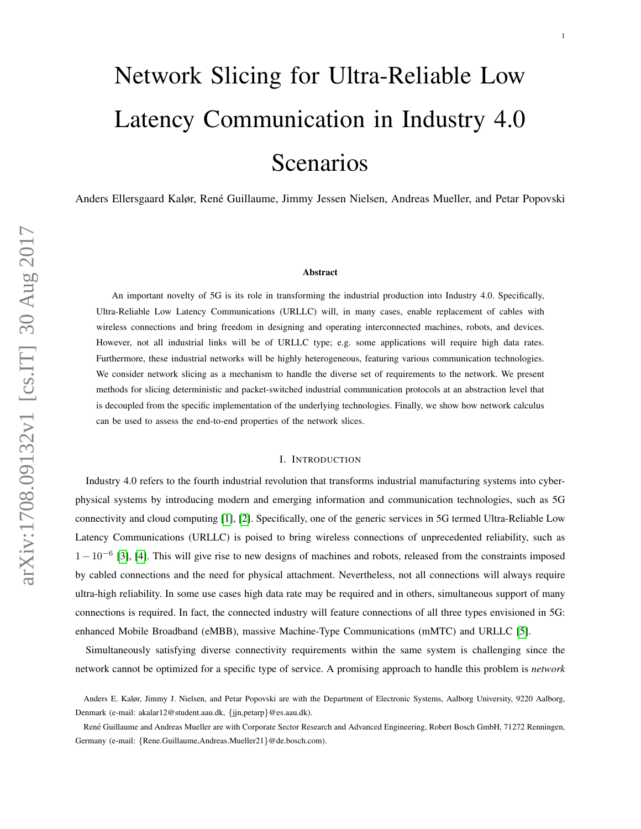# Network Slicing for Ultra-Reliable Low Latency Communication in Industry 4.0 Scenarios

Anders Ellersgaard Kalør, René Guillaume, Jimmy Jessen Nielsen, Andreas Mueller, and Petar Popovski

#### Abstract

An important novelty of 5G is its role in transforming the industrial production into Industry 4.0. Specifically, Ultra-Reliable Low Latency Communications (URLLC) will, in many cases, enable replacement of cables with wireless connections and bring freedom in designing and operating interconnected machines, robots, and devices. However, not all industrial links will be of URLLC type; e.g. some applications will require high data rates. Furthermore, these industrial networks will be highly heterogeneous, featuring various communication technologies. We consider network slicing as a mechanism to handle the diverse set of requirements to the network. We present methods for slicing deterministic and packet-switched industrial communication protocols at an abstraction level that is decoupled from the specific implementation of the underlying technologies. Finally, we show how network calculus can be used to assess the end-to-end properties of the network slices.

### I. INTRODUCTION

Industry 4.0 refers to the fourth industrial revolution that transforms industrial manufacturing systems into cyberphysical systems by introducing modern and emerging information and communication technologies, such as 5G connectivity and cloud computing [\[1\]](#page-9-0), [\[2\]](#page-9-1). Specifically, one of the generic services in 5G termed Ultra-Reliable Low Latency Communications (URLLC) is poised to bring wireless connections of unprecedented reliability, such as  $1-10^{-6}$  [\[3\]](#page-9-2), [\[4\]](#page-9-3). This will give rise to new designs of machines and robots, released from the constraints imposed by cabled connections and the need for physical attachment. Nevertheless, not all connections will always require ultra-high reliability. In some use cases high data rate may be required and in others, simultaneous support of many connections is required. In fact, the connected industry will feature connections of all three types envisioned in 5G: enhanced Mobile Broadband (eMBB), massive Machine-Type Communications (mMTC) and URLLC [\[5\]](#page-9-4).

Simultaneously satisfying diverse connectivity requirements within the same system is challenging since the network cannot be optimized for a specific type of service. A promising approach to handle this problem is *network*

Anders E. Kalør, Jimmy J. Nielsen, and Petar Popovski are with the Department of Electronic Systems, Aalborg University, 9220 Aalborg, Denmark (e-mail: akalar12@student.aau.dk, {jjn,petarp}@es.aau.dk).

René Guillaume and Andreas Mueller are with Corporate Sector Research and Advanced Engineering, Robert Bosch GmbH, 71272 Renningen, Germany (e-mail: {Rene.Guillaume,Andreas.Mueller21}@de.bosch.com).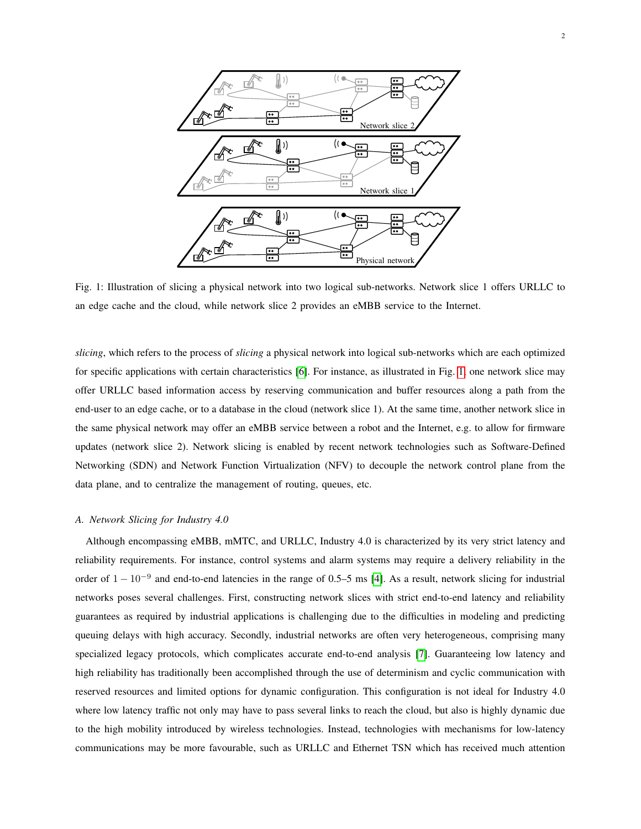<span id="page-1-0"></span>

Fig. 1: Illustration of slicing a physical network into two logical sub-networks. Network slice 1 offers URLLC to an edge cache and the cloud, while network slice 2 provides an eMBB service to the Internet.

*slicing*, which refers to the process of *slicing* a physical network into logical sub-networks which are each optimized for specific applications with certain characteristics [\[6\]](#page-9-5). For instance, as illustrated in Fig. [1,](#page-1-0) one network slice may offer URLLC based information access by reserving communication and buffer resources along a path from the end-user to an edge cache, or to a database in the cloud (network slice 1). At the same time, another network slice in the same physical network may offer an eMBB service between a robot and the Internet, e.g. to allow for firmware updates (network slice 2). Network slicing is enabled by recent network technologies such as Software-Defined Networking (SDN) and Network Function Virtualization (NFV) to decouple the network control plane from the data plane, and to centralize the management of routing, queues, etc.

## *A. Network Slicing for Industry 4.0*

Although encompassing eMBB, mMTC, and URLLC, Industry 4.0 is characterized by its very strict latency and reliability requirements. For instance, control systems and alarm systems may require a delivery reliability in the order of  $1 - 10^{-9}$  and end-to-end latencies in the range of 0.5–5 ms [\[4\]](#page-9-3). As a result, network slicing for industrial networks poses several challenges. First, constructing network slices with strict end-to-end latency and reliability guarantees as required by industrial applications is challenging due to the difficulties in modeling and predicting queuing delays with high accuracy. Secondly, industrial networks are often very heterogeneous, comprising many specialized legacy protocols, which complicates accurate end-to-end analysis [\[7\]](#page-9-6). Guaranteeing low latency and high reliability has traditionally been accomplished through the use of determinism and cyclic communication with reserved resources and limited options for dynamic configuration. This configuration is not ideal for Industry 4.0 where low latency traffic not only may have to pass several links to reach the cloud, but also is highly dynamic due to the high mobility introduced by wireless technologies. Instead, technologies with mechanisms for low-latency communications may be more favourable, such as URLLC and Ethernet TSN which has received much attention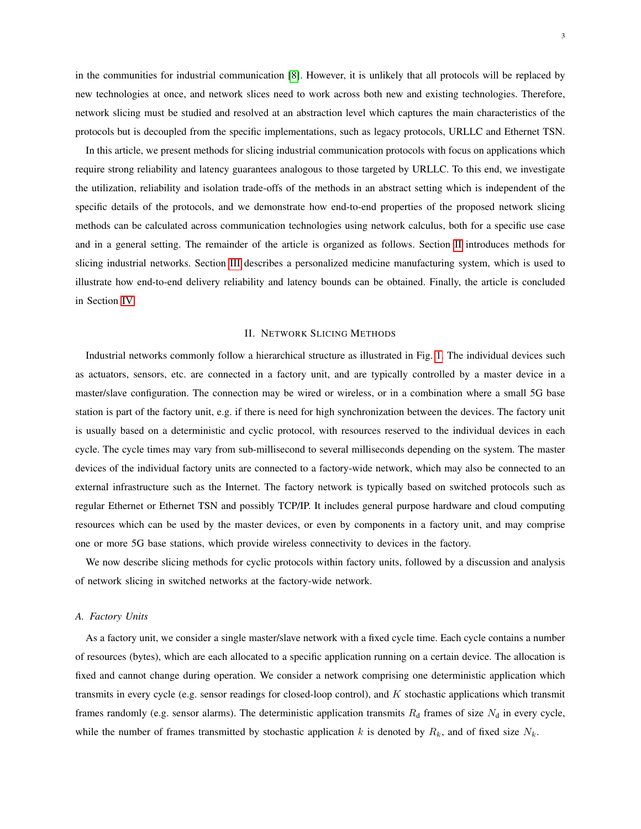in the communities for industrial communication [\[8\]](#page-9-7). However, it is unlikely that all protocols will be replaced by new technologies at once, and network slices need to work across both new and existing technologies. Therefore, network slicing must be studied and resolved at an abstraction level which captures the main characteristics of the protocols but is decoupled from the specific implementations, such as legacy protocols, URLLC and Ethernet TSN.

In this article, we present methods for slicing industrial communication protocols with focus on applications which require strong reliability and latency guarantees analogous to those targeted by URLLC. To this end, we investigate the utilization, reliability and isolation trade-offs of the methods in an abstract setting which is independent of the specific details of the protocols, and we demonstrate how end-to-end properties of the proposed network slicing methods can be calculated across communication technologies using network calculus, both for a specific use case and in a general setting. The remainder of the article is organized as follows. Section [II](#page-2-0) introduces methods for slicing industrial networks. Section [III](#page-5-0) describes a personalized medicine manufacturing system, which is used to illustrate how end-to-end delivery reliability and latency bounds can be obtained. Finally, the article is concluded in Section [IV.](#page-9-8)

#### II. NETWORK SLICING METHODS

<span id="page-2-0"></span>Industrial networks commonly follow a hierarchical structure as illustrated in Fig. [1.](#page-1-0) The individual devices such as actuators, sensors, etc. are connected in a factory unit, and are typically controlled by a master device in a master/slave configuration. The connection may be wired or wireless, or in a combination where a small 5G base station is part of the factory unit, e.g. if there is need for high synchronization between the devices. The factory unit is usually based on a deterministic and cyclic protocol, with resources reserved to the individual devices in each cycle. The cycle times may vary from sub-millisecond to several milliseconds depending on the system. The master devices of the individual factory units are connected to a factory-wide network, which may also be connected to an external infrastructure such as the Internet. The factory network is typically based on switched protocols such as regular Ethernet or Ethernet TSN and possibly TCP/IP. It includes general purpose hardware and cloud computing resources which can be used by the master devices, or even by components in a factory unit, and may comprise one or more 5G base stations, which provide wireless connectivity to devices in the factory.

We now describe slicing methods for cyclic protocols within factory units, followed by a discussion and analysis of network slicing in switched networks at the factory-wide network.

### *A. Factory Units*

As a factory unit, we consider a single master/slave network with a fixed cycle time. Each cycle contains a number of resources (bytes), which are each allocated to a specific application running on a certain device. The allocation is fixed and cannot change during operation. We consider a network comprising one deterministic application which transmits in every cycle (e.g. sensor readings for closed-loop control), and  $K$  stochastic applications which transmit frames randomly (e.g. sensor alarms). The deterministic application transmits  $R_d$  frames of size  $N_d$  in every cycle, while the number of frames transmitted by stochastic application k is denoted by  $R_k$ , and of fixed size  $N_k$ .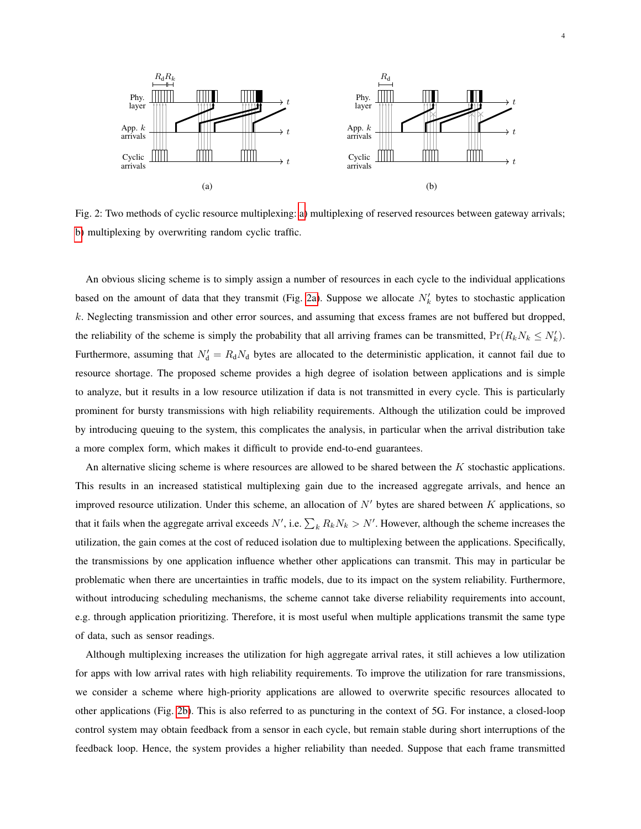<span id="page-3-0"></span>

Fig. 2: Two methods of cyclic resource multiplexing: [a\)](#page-3-0) multiplexing of reserved resources between gateway arrivals; [b\)](#page-3-0) multiplexing by overwriting random cyclic traffic.

An obvious slicing scheme is to simply assign a number of resources in each cycle to the individual applications based on the amount of data that they transmit (Fig. [2a\)](#page-3-0). Suppose we allocate  $N'_k$  bytes to stochastic application k. Neglecting transmission and other error sources, and assuming that excess frames are not buffered but dropped, the reliability of the scheme is simply the probability that all arriving frames can be transmitted,  $Pr(R_kN_k \le N'_k)$ . Furthermore, assuming that  $N_d' = R_d N_d$  bytes are allocated to the deterministic application, it cannot fail due to resource shortage. The proposed scheme provides a high degree of isolation between applications and is simple to analyze, but it results in a low resource utilization if data is not transmitted in every cycle. This is particularly prominent for bursty transmissions with high reliability requirements. Although the utilization could be improved by introducing queuing to the system, this complicates the analysis, in particular when the arrival distribution take a more complex form, which makes it difficult to provide end-to-end guarantees.

An alternative slicing scheme is where resources are allowed to be shared between the  $K$  stochastic applications. This results in an increased statistical multiplexing gain due to the increased aggregate arrivals, and hence an improved resource utilization. Under this scheme, an allocation of  $N'$  bytes are shared between K applications, so that it fails when the aggregate arrival exceeds  $N'$ , i.e.  $\sum_k R_k N_k > N'$ . However, although the scheme increases the utilization, the gain comes at the cost of reduced isolation due to multiplexing between the applications. Specifically, the transmissions by one application influence whether other applications can transmit. This may in particular be problematic when there are uncertainties in traffic models, due to its impact on the system reliability. Furthermore, without introducing scheduling mechanisms, the scheme cannot take diverse reliability requirements into account, e.g. through application prioritizing. Therefore, it is most useful when multiple applications transmit the same type of data, such as sensor readings.

Although multiplexing increases the utilization for high aggregate arrival rates, it still achieves a low utilization for apps with low arrival rates with high reliability requirements. To improve the utilization for rare transmissions, we consider a scheme where high-priority applications are allowed to overwrite specific resources allocated to other applications (Fig. [2b\)](#page-3-0). This is also referred to as puncturing in the context of 5G. For instance, a closed-loop control system may obtain feedback from a sensor in each cycle, but remain stable during short interruptions of the feedback loop. Hence, the system provides a higher reliability than needed. Suppose that each frame transmitted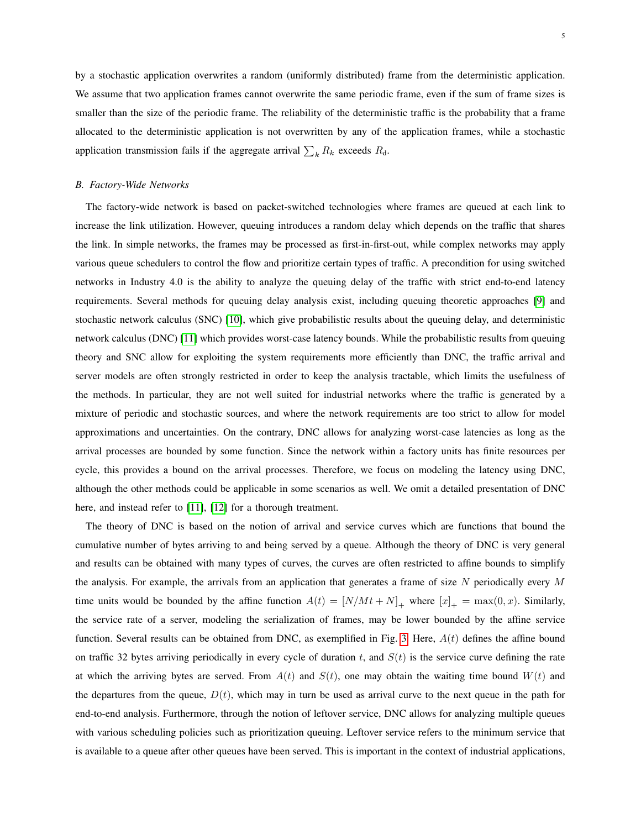by a stochastic application overwrites a random (uniformly distributed) frame from the deterministic application. We assume that two application frames cannot overwrite the same periodic frame, even if the sum of frame sizes is smaller than the size of the periodic frame. The reliability of the deterministic traffic is the probability that a frame allocated to the deterministic application is not overwritten by any of the application frames, while a stochastic application transmission fails if the aggregate arrival  $\sum_k R_k$  exceeds  $R_d$ .

#### *B. Factory-Wide Networks*

The factory-wide network is based on packet-switched technologies where frames are queued at each link to increase the link utilization. However, queuing introduces a random delay which depends on the traffic that shares the link. In simple networks, the frames may be processed as first-in-first-out, while complex networks may apply various queue schedulers to control the flow and prioritize certain types of traffic. A precondition for using switched networks in Industry 4.0 is the ability to analyze the queuing delay of the traffic with strict end-to-end latency requirements. Several methods for queuing delay analysis exist, including queuing theoretic approaches [\[9\]](#page-9-9) and stochastic network calculus (SNC) [\[10\]](#page-9-10), which give probabilistic results about the queuing delay, and deterministic network calculus (DNC) [\[11\]](#page-9-11) which provides worst-case latency bounds. While the probabilistic results from queuing theory and SNC allow for exploiting the system requirements more efficiently than DNC, the traffic arrival and server models are often strongly restricted in order to keep the analysis tractable, which limits the usefulness of the methods. In particular, they are not well suited for industrial networks where the traffic is generated by a mixture of periodic and stochastic sources, and where the network requirements are too strict to allow for model approximations and uncertainties. On the contrary, DNC allows for analyzing worst-case latencies as long as the arrival processes are bounded by some function. Since the network within a factory units has finite resources per cycle, this provides a bound on the arrival processes. Therefore, we focus on modeling the latency using DNC, although the other methods could be applicable in some scenarios as well. We omit a detailed presentation of DNC here, and instead refer to [\[11\]](#page-9-11), [\[12\]](#page-10-0) for a thorough treatment.

The theory of DNC is based on the notion of arrival and service curves which are functions that bound the cumulative number of bytes arriving to and being served by a queue. Although the theory of DNC is very general and results can be obtained with many types of curves, the curves are often restricted to affine bounds to simplify the analysis. For example, the arrivals from an application that generates a frame of size  $N$  periodically every  $M$ time units would be bounded by the affine function  $A(t) = [N/Mt + N]_+$  where  $[x]_+ = \max(0, x)$ . Similarly, the service rate of a server, modeling the serialization of frames, may be lower bounded by the affine service function. Several results can be obtained from DNC, as exemplified in Fig. [3.](#page-5-1) Here,  $A(t)$  defines the affine bound on traffic 32 bytes arriving periodically in every cycle of duration t, and  $S(t)$  is the service curve defining the rate at which the arriving bytes are served. From  $A(t)$  and  $S(t)$ , one may obtain the waiting time bound  $W(t)$  and the departures from the queue,  $D(t)$ , which may in turn be used as arrival curve to the next queue in the path for end-to-end analysis. Furthermore, through the notion of leftover service, DNC allows for analyzing multiple queues with various scheduling policies such as prioritization queuing. Leftover service refers to the minimum service that is available to a queue after other queues have been served. This is important in the context of industrial applications,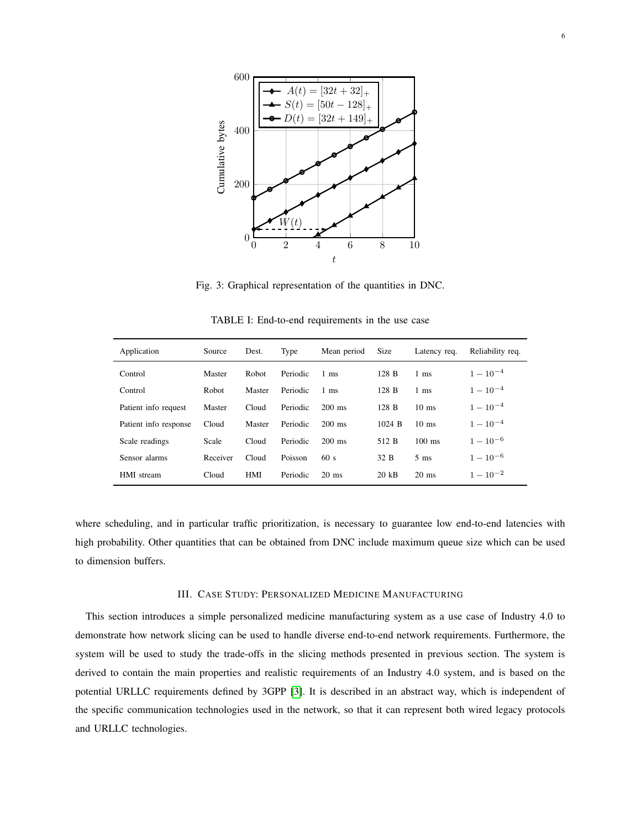<span id="page-5-1"></span>

Fig. 3: Graphical representation of the quantities in DNC.

<span id="page-5-2"></span>

| Application           | Source   | Dest.        | Type     | Mean period     | Size            | Latency req.    | Reliability req. |
|-----------------------|----------|--------------|----------|-----------------|-----------------|-----------------|------------------|
| Control               | Master   | <b>Robot</b> | Periodic | $1 \text{ ms}$  | 128 B           | $1 \text{ ms}$  | $1-10^{-4}$      |
| Control               | Robot    | Master       | Periodic | $1 \text{ ms}$  | 128 B           | $1 \text{ ms}$  | $1-10^{-4}$      |
| Patient info request  | Master   | Cloud        | Periodic | $200$ ms        | 128 B           | $10 \text{ ms}$ | $1-10^{-4}$      |
| Patient info response | Cloud    | Master       | Periodic | $200$ ms        | 1024 B          | $10 \text{ ms}$ | $1 - 10^{-4}$    |
| Scale readings        | Scale    | Cloud        | Periodic | $200$ ms        | 512 B           | $100$ ms        | $1-10^{-6}$      |
| Sensor alarms         | Receiver | Cloud        | Poisson  | 60s             | 32 B            | $5 \text{ ms}$  | $1-10^{-6}$      |
| HMI stream            | Cloud    | <b>HMI</b>   | Periodic | $20 \text{ ms}$ | $20 \text{ kB}$ | $20$ ms         | $1-10^{-2}$      |

TABLE I: End-to-end requirements in the use case

where scheduling, and in particular traffic prioritization, is necessary to guarantee low end-to-end latencies with high probability. Other quantities that can be obtained from DNC include maximum queue size which can be used to dimension buffers.

#### III. CASE STUDY: PERSONALIZED MEDICINE MANUFACTURING

<span id="page-5-0"></span>This section introduces a simple personalized medicine manufacturing system as a use case of Industry 4.0 to demonstrate how network slicing can be used to handle diverse end-to-end network requirements. Furthermore, the system will be used to study the trade-offs in the slicing methods presented in previous section. The system is derived to contain the main properties and realistic requirements of an Industry 4.0 system, and is based on the potential URLLC requirements defined by 3GPP [\[3\]](#page-9-2). It is described in an abstract way, which is independent of the specific communication technologies used in the network, so that it can represent both wired legacy protocols and URLLC technologies.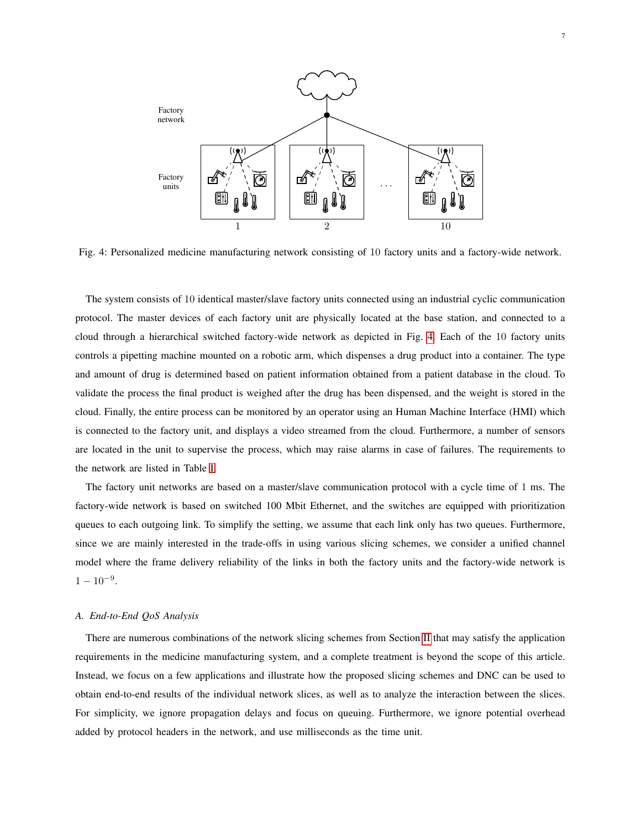<span id="page-6-0"></span>

Fig. 4: Personalized medicine manufacturing network consisting of 10 factory units and a factory-wide network.

The system consists of 10 identical master/slave factory units connected using an industrial cyclic communication protocol. The master devices of each factory unit are physically located at the base station, and connected to a cloud through a hierarchical switched factory-wide network as depicted in Fig. [4.](#page-6-0) Each of the 10 factory units controls a pipetting machine mounted on a robotic arm, which dispenses a drug product into a container. The type and amount of drug is determined based on patient information obtained from a patient database in the cloud. To validate the process the final product is weighed after the drug has been dispensed, and the weight is stored in the cloud. Finally, the entire process can be monitored by an operator using an Human Machine Interface (HMI) which is connected to the factory unit, and displays a video streamed from the cloud. Furthermore, a number of sensors are located in the unit to supervise the process, which may raise alarms in case of failures. The requirements to the network are listed in Table [I.](#page-5-2)

The factory unit networks are based on a master/slave communication protocol with a cycle time of 1 ms. The factory-wide network is based on switched 100 Mbit Ethernet, and the switches are equipped with prioritization queues to each outgoing link. To simplify the setting, we assume that each link only has two queues. Furthermore, since we are mainly interested in the trade-offs in using various slicing schemes, we consider a unified channel model where the frame delivery reliability of the links in both the factory units and the factory-wide network is  $1 - 10^{-9}$ .

#### *A. End-to-End QoS Analysis*

There are numerous combinations of the network slicing schemes from Section [II](#page-2-0) that may satisfy the application requirements in the medicine manufacturing system, and a complete treatment is beyond the scope of this article. Instead, we focus on a few applications and illustrate how the proposed slicing schemes and DNC can be used to obtain end-to-end results of the individual network slices, as well as to analyze the interaction between the slices. For simplicity, we ignore propagation delays and focus on queuing. Furthermore, we ignore potential overhead added by protocol headers in the network, and use milliseconds as the time unit.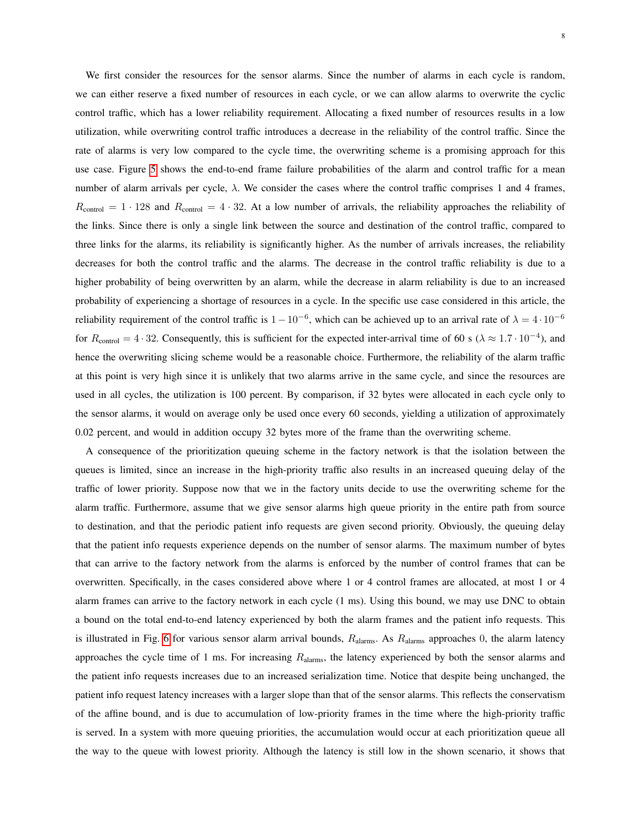We first consider the resources for the sensor alarms. Since the number of alarms in each cycle is random, we can either reserve a fixed number of resources in each cycle, or we can allow alarms to overwrite the cyclic control traffic, which has a lower reliability requirement. Allocating a fixed number of resources results in a low utilization, while overwriting control traffic introduces a decrease in the reliability of the control traffic. Since the rate of alarms is very low compared to the cycle time, the overwriting scheme is a promising approach for this use case. Figure [5](#page-8-0) shows the end-to-end frame failure probabilities of the alarm and control traffic for a mean number of alarm arrivals per cycle,  $\lambda$ . We consider the cases where the control traffic comprises 1 and 4 frames,  $R_{\text{control}} = 1 \cdot 128$  and  $R_{\text{control}} = 4 \cdot 32$ . At a low number of arrivals, the reliability approaches the reliability of the links. Since there is only a single link between the source and destination of the control traffic, compared to three links for the alarms, its reliability is significantly higher. As the number of arrivals increases, the reliability decreases for both the control traffic and the alarms. The decrease in the control traffic reliability is due to a higher probability of being overwritten by an alarm, while the decrease in alarm reliability is due to an increased probability of experiencing a shortage of resources in a cycle. In the specific use case considered in this article, the reliability requirement of the control traffic is  $1-10^{-6}$ , which can be achieved up to an arrival rate of  $\lambda = 4 \cdot 10^{-6}$ for  $R_{\text{control}} = 4 \cdot 32$ . Consequently, this is sufficient for the expected inter-arrival time of 60 s ( $\lambda \approx 1.7 \cdot 10^{-4}$ ), and hence the overwriting slicing scheme would be a reasonable choice. Furthermore, the reliability of the alarm traffic at this point is very high since it is unlikely that two alarms arrive in the same cycle, and since the resources are used in all cycles, the utilization is 100 percent. By comparison, if 32 bytes were allocated in each cycle only to the sensor alarms, it would on average only be used once every 60 seconds, yielding a utilization of approximately 0.02 percent, and would in addition occupy 32 bytes more of the frame than the overwriting scheme.

A consequence of the prioritization queuing scheme in the factory network is that the isolation between the queues is limited, since an increase in the high-priority traffic also results in an increased queuing delay of the traffic of lower priority. Suppose now that we in the factory units decide to use the overwriting scheme for the alarm traffic. Furthermore, assume that we give sensor alarms high queue priority in the entire path from source to destination, and that the periodic patient info requests are given second priority. Obviously, the queuing delay that the patient info requests experience depends on the number of sensor alarms. The maximum number of bytes that can arrive to the factory network from the alarms is enforced by the number of control frames that can be overwritten. Specifically, in the cases considered above where 1 or 4 control frames are allocated, at most 1 or 4 alarm frames can arrive to the factory network in each cycle (1 ms). Using this bound, we may use DNC to obtain a bound on the total end-to-end latency experienced by both the alarm frames and the patient info requests. This is illustrated in Fig. [6](#page-8-1) for various sensor alarm arrival bounds,  $R_{\text{alarms}}$ . As  $R_{\text{alarms}}$  approaches 0, the alarm latency approaches the cycle time of 1 ms. For increasing  $R_{\text{alarms}}$ , the latency experienced by both the sensor alarms and the patient info requests increases due to an increased serialization time. Notice that despite being unchanged, the patient info request latency increases with a larger slope than that of the sensor alarms. This reflects the conservatism of the affine bound, and is due to accumulation of low-priority frames in the time where the high-priority traffic is served. In a system with more queuing priorities, the accumulation would occur at each prioritization queue all the way to the queue with lowest priority. Although the latency is still low in the shown scenario, it shows that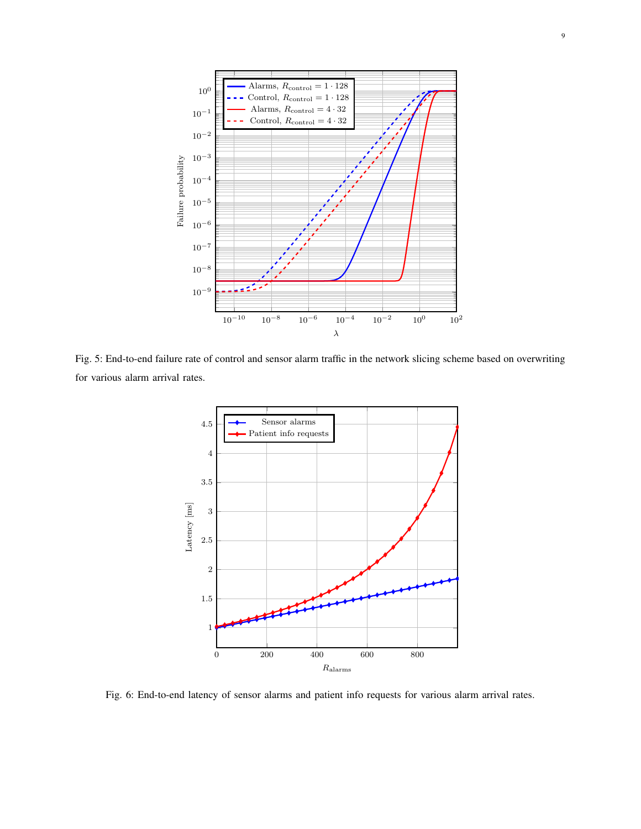<span id="page-8-0"></span>

<span id="page-8-1"></span>Fig. 5: End-to-end failure rate of control and sensor alarm traffic in the network slicing scheme based on overwriting for various alarm arrival rates.



Fig. 6: End-to-end latency of sensor alarms and patient info requests for various alarm arrival rates.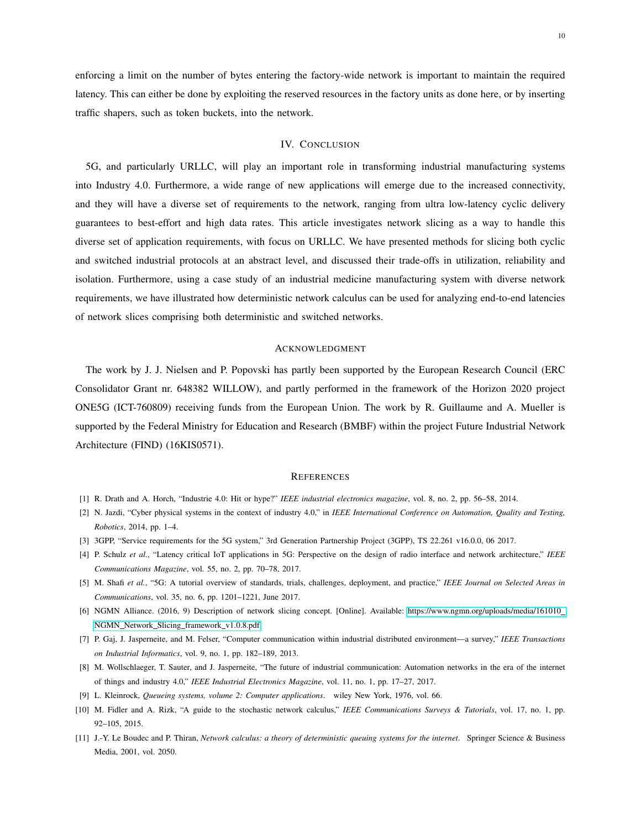enforcing a limit on the number of bytes entering the factory-wide network is important to maintain the required latency. This can either be done by exploiting the reserved resources in the factory units as done here, or by inserting traffic shapers, such as token buckets, into the network.

# IV. CONCLUSION

<span id="page-9-8"></span>5G, and particularly URLLC, will play an important role in transforming industrial manufacturing systems into Industry 4.0. Furthermore, a wide range of new applications will emerge due to the increased connectivity, and they will have a diverse set of requirements to the network, ranging from ultra low-latency cyclic delivery guarantees to best-effort and high data rates. This article investigates network slicing as a way to handle this diverse set of application requirements, with focus on URLLC. We have presented methods for slicing both cyclic and switched industrial protocols at an abstract level, and discussed their trade-offs in utilization, reliability and isolation. Furthermore, using a case study of an industrial medicine manufacturing system with diverse network requirements, we have illustrated how deterministic network calculus can be used for analyzing end-to-end latencies of network slices comprising both deterministic and switched networks.

#### ACKNOWLEDGMENT

The work by J. J. Nielsen and P. Popovski has partly been supported by the European Research Council (ERC Consolidator Grant nr. 648382 WILLOW), and partly performed in the framework of the Horizon 2020 project ONE5G (ICT-760809) receiving funds from the European Union. The work by R. Guillaume and A. Mueller is supported by the Federal Ministry for Education and Research (BMBF) within the project Future Industrial Network Architecture (FIND) (16KIS0571).

#### **REFERENCES**

- <span id="page-9-0"></span>[1] R. Drath and A. Horch, "Industrie 4.0: Hit or hype?" *IEEE industrial electronics magazine*, vol. 8, no. 2, pp. 56–58, 2014.
- <span id="page-9-1"></span>[2] N. Jazdi, "Cyber physical systems in the context of industry 4.0," in *IEEE International Conference on Automation, Quality and Testing, Robotics*, 2014, pp. 1–4.
- <span id="page-9-2"></span>[3] 3GPP, "Service requirements for the 5G system," 3rd Generation Partnership Project (3GPP), TS 22.261 v16.0.0, 06 2017.
- <span id="page-9-3"></span>[4] P. Schulz *et al.*, "Latency critical IoT applications in 5G: Perspective on the design of radio interface and network architecture," *IEEE Communications Magazine*, vol. 55, no. 2, pp. 70–78, 2017.
- <span id="page-9-4"></span>[5] M. Shafi *et al.*, "5G: A tutorial overview of standards, trials, challenges, deployment, and practice," *IEEE Journal on Selected Areas in Communications*, vol. 35, no. 6, pp. 1201–1221, June 2017.
- <span id="page-9-5"></span>[6] NGMN Alliance. (2016, 9) Description of network slicing concept. [Online]. Available: [https://www.ngmn.org/uploads/media/161010](https://www.ngmn.org/uploads/media/161010_NGMN_Network_Slicing_framework_v1.0.8.pdf) NGMN\_Network\_Slicing\_[framework](https://www.ngmn.org/uploads/media/161010_NGMN_Network_Slicing_framework_v1.0.8.pdf)\_v1.0.8.pdf
- <span id="page-9-6"></span>[7] P. Gaj, J. Jasperneite, and M. Felser, "Computer communication within industrial distributed environment—a survey," *IEEE Transactions on Industrial Informatics*, vol. 9, no. 1, pp. 182–189, 2013.
- <span id="page-9-7"></span>[8] M. Wollschlaeger, T. Sauter, and J. Jasperneite, "The future of industrial communication: Automation networks in the era of the internet of things and industry 4.0," *IEEE Industrial Electronics Magazine*, vol. 11, no. 1, pp. 17–27, 2017.
- <span id="page-9-9"></span>[9] L. Kleinrock, *Queueing systems, volume 2: Computer applications*. wiley New York, 1976, vol. 66.
- <span id="page-9-10"></span>[10] M. Fidler and A. Rizk, "A guide to the stochastic network calculus," *IEEE Communications Surveys & Tutorials*, vol. 17, no. 1, pp. 92–105, 2015.
- <span id="page-9-11"></span>[11] J.-Y. Le Boudec and P. Thiran, *Network calculus: a theory of deterministic queuing systems for the internet*. Springer Science & Business Media, 2001, vol. 2050.